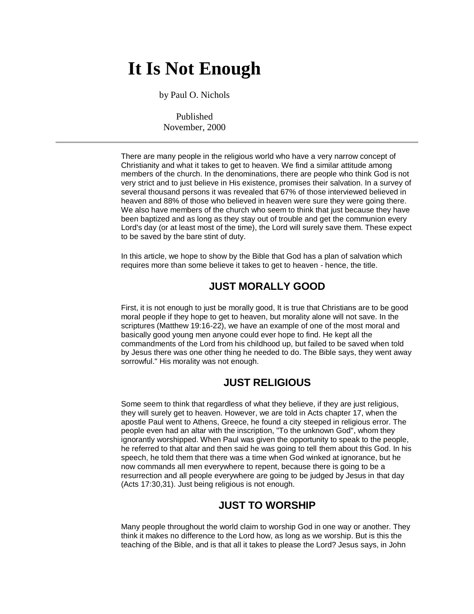# **It Is Not Enough**

by Paul O. Nichols

Published November, 2000

There are many people in the religious world who have a very narrow concept of Christianity and what it takes to get to heaven. We find a similar attitude among members of the church. In the denominations, there are people who think God is not very strict and to just believe in His existence, promises their salvation. In a survey of several thousand persons it was revealed that 67% of those interviewed believed in heaven and 88% of those who believed in heaven were sure they were going there. We also have members of the church who seem to think that just because they have been baptized and as long as they stay out of trouble and get the communion every Lord's day (or at least most of the time), the Lord will surely save them. These expect to be saved by the bare stint of duty.

In this article, we hope to show by the Bible that God has a plan of salvation which requires more than some believe it takes to get to heaven - hence, the title.

## **JUST MORALLY GOOD**

First, it is not enough to just be morally good, It is true that Christians are to be good moral people if they hope to get to heaven, but morality alone will not save. In the scriptures (Matthew 19:16-22), we have an example of one of the most moral and basically good young men anyone could ever hope to find. He kept all the commandments of the Lord from his childhood up, but failed to be saved when told by Jesus there was one other thing he needed to do. The Bible says, they went away sorrowful." His morality was not enough.

## **JUST RELIGIOUS**

Some seem to think that regardless of what they believe, if they are just religious, they will surely get to heaven. However, we are told in Acts chapter 17, when the apostle Paul went to Athens, Greece, he found a city steeped in religious error. The people even had an altar with the inscription, "To the unknown God", whom they ignorantly worshipped. When Paul was given the opportunity to speak to the people, he referred to that altar and then said he was going to tell them about this God. In his speech, he told them that there was a time when God winked at ignorance, but he now commands all men everywhere to repent, because there is going to be a resurrection and all people everywhere are going to be judged by Jesus in that day (Acts 17:30,31). Just being religious is not enough.

#### **JUST TO WORSHIP**

Many people throughout the world claim to worship God in one way or another. They think it makes no difference to the Lord how, as long as we worship. But is this the teaching of the Bible, and is that all it takes to please the Lord? Jesus says, in John